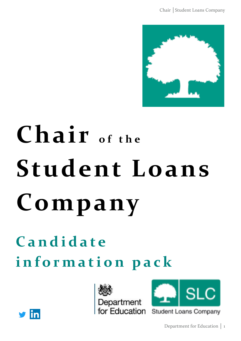

# Chair of the **Student Loans Company**

**C a n d i d a t e i n f o r m a t i o n p a c k**





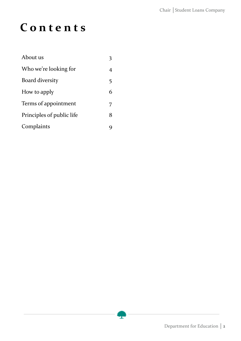### **C o n t e n t s**

| About us                  |    |
|---------------------------|----|
| Who we're looking for     |    |
| Board diversity           | 5. |
| How to apply              | 6  |
| Terms of appointment      | 7  |
| Principles of public life | 8  |
| Complaints                |    |



ż.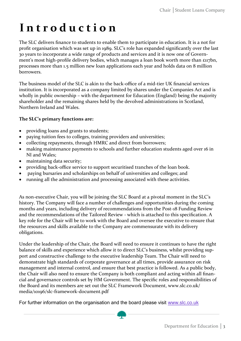### **I n t r o d u c t i o n**

The SLC delivers finance to students to enable them to participate in education. It is a not for profit organisation which was set up in 1989. SLC's role has expanded significantly over the last 30 years to incorporate a wide range of products and services and it is now one of Government's most high-profile delivery bodies, which manages a loan book worth more than £117bn, processes more than 1.5 million new loan applications each year and holds data on 8 million borrowers.

The business model of the SLC is akin to the back-office of a mid-tier UK financial services institution. It is incorporated as a company limited by shares under the Companies Act and is wholly in public ownership – with the department for Education (England) being the majority shareholder and the remaining shares held by the devolved administrations in Scotland, Northern Ireland and Wales.

#### **The SLC's primary functions are:**

- providing loans and grants to students;
- paying tuition fees to colleges, training providers and universities;
- collecting repayments, through HMRC and direct from borrowers;
- making maintenance payments to schools and further education students aged over 16 in NI and Wales;
- maintaining data security;
- providing back-office service to support securitised tranches of the loan book.
- paying bursaries and scholarships on behalf of universities and colleges; and
- running all the administration and processing associated with these activities.

As non-executive Chair, you will be joining the SLC Board at a pivotal moment in the SLC's history. The Company will face a number of challenges and opportunities during the coming months and years, including delivery of recommendations from the Post-18 Funding Review and the recommendations of the Tailored Review - which is attached to this specification. A key role for the Chair will be to work with the Board and oversee the executive to ensure that the resources and skills available to the Company are commensurate with its delivery obligations.

Under the leadership of the Chair, the Board will need to ensure it continues to have the right balance of skills and experience which allow it to direct SLC's business, whilst providing support and constructive challenge to the executive leadership Team. The Chair will need to demonstrate high standards of corporate governance at all times, provide assurance on risk management and internal control, and ensure that best practice is followed. As a public body, the Chair will also need to ensure the Company is both compliant and acting within all financial and governance controls set by HM Government. The specific roles and responsibilities of the Board and its members are set out the SLC Framework Document, www.slc.co.uk/ media/10196/slc-framework-document.pdf

For further information on the organisation and the board please visit [www.slc.co.uk](http://www.slc.co.uk)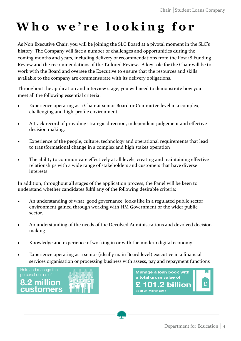## **W h o w e ' r e l o o k i n g f o r**

As Non Executive Chair, you will be joining the SLC Board at a pivotal moment in the SLC's history. The Company will face a number of challenges and opportunities during the coming months and years, including delivery of recommendations from the Post 18 Funding Review and the recommendations of the Tailored Review. A key role for the Chair will be to work with the Board and oversee the Executive to ensure that the resources and skills available to the company are commensurate with its delivery obligations.

Throughout the application and interview stage, you will need to demonstrate how you meet all the following essential criteria:

- Experience operating as a Chair at senior Board or Committee level in a complex, challenging and high-profile environment.
- A track record of providing strategic direction, independent judgement and effective decision making.
- Experience of the people, culture, technology and operational requirements that lead to transformational change in a complex and high stakes operation
- The ability to communicate effectively at all levels; creating and maintaining effective relationships with a wide range of stakeholders and customers that have diverse interests

In addition, throughout all stages of the application process, the Panel will be keen to understand whether candidates fulfil any of the following desirable criteria:

- An understanding of what 'good governance' looks like in a regulated public sector environment gained through working with HM Government or the wider public sector.
- An understanding of the needs of the Devolved Administrations and devolved decision making
- Knowledge and experience of working in or with the modern digital economy
- Experience operating as a senior (ideally main Board level) executive in a financial services organisation or processing business with assess, pay and repayment functions



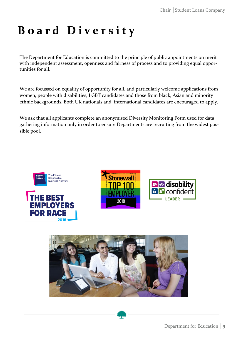### **B o a r d D i v e r s i t y**

The Department for Education is committed to the principle of public appointments on merit with independent assessment, openness and fairness of process and to providing equal opportunities for all.

We are focussed on equality of opportunity for all, and particularly welcome applications from women, people with disabilities, LGBT candidates and those from black, Asian and minority ethnic backgrounds. Both UK nationals and international candidates are encouraged to apply.

We ask that all applicants complete an anonymised Diversity Monitoring Form used for data gathering information only in order to ensure Departments are recruiting from the widest possible pool.







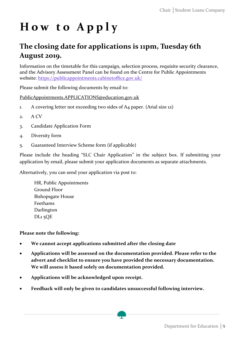### **H o w t o A p p l y**

### **The closing date for applications is 11pm, Tuesday 6th August 2019.**

Information on the timetable for this campaign, selection process, requisite security clearance, and the Advisory Assessment Panel can be found on the Centre for Public Appointments website: <https://publicappointments.cabinetoffice.gov.uk/>

Please submit the following documents by email to:

#### [PublicAppointments.APPLICATIONS@education.gov.uk](mailto:PublicAppointments.APPLICATIONS@education.gov.uk)

- 1. A covering letter not exceeding two sides of A4 paper. (Arial size 12)
- 2. A CV
- 3. Candidate Application Form
- 4. Diversity form
- 5. Guaranteed Interview Scheme form (if applicable)

Please include the heading "SLC Chair Application" in the subject box. If submitting your application by email, please submit your application documents as separate attachments.

Alternatively, you can send your application via post to:

HR, Public Appointments Ground Floor Bishopsgate House Feethams Darlington DL1 5QE

**Please note the following:**

- **We cannot accept applications submitted after the closing date**
- **Applications will be assessed on the documentation provided. Please refer to the advert and checklist to ensure you have provided the necessary documentation. We will assess it based solely on documentation provided.**
- **Applications will be acknowledged upon receipt.**
- **Feedback will only be given to candidates unsuccessful following interview.**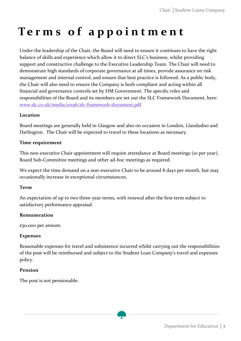### **T e r m s o f a p p o i n t m e n t**

Under the leadership of the Chair, the Board will need to ensure it continues to have the right balance of skills and experience which allow it to direct SLC's business, whilst providing support and constructive challenge to the Executive Leadership Team. The Chair will need to demonstrate high standards of corporate governance at all times, provide assurance on risk management and internal control, and ensure that best practice is followed. As a public body, the Chair will also need to ensure the Company is both compliant and acting within all financial and governance controls set by HM Government. The specific roles and responsibilities of the Board and its members are set out the SLC Framework Document, here: [www.slc.co.uk/media/10196/slc](http://www.slc.co.uk/media/10196/slc-framework-document.pdf)-framework-document.pdf

#### **Location**

Board meetings are generally held in Glasgow and also on occasion in London, Llandudno and Darlington. The Chair will be expected to travel to these locations as necessary.

#### **Time requirement**

This non-executive Chair appointment will require attendance at Board meetings (10 per year), Board Sub-Committee meetings and other ad-hoc meetings as required.

We expect the time demand on a non-executive Chair to be around 8 days per month, but may occasionally increase in exceptional circumstances.

#### **Term**

An expectation of up to two three-year terms, with renewal after the first term subject to satisfactory performance appraisal.

#### **Remuneration**

£50,000 per annum.

#### **Expenses**

Reasonable expenses for travel and subsistence incurred whilst carrying out the responsibilities of the post will be reimbursed and subject to the Student Loan Company's travel and expenses policy.

#### **Pension**

The post is not pensionable.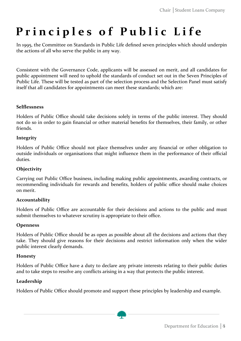### **Principles of Public Life**

In 1995, the Committee on Standards in Public Life defined seven principles which should underpin the actions of all who serve the public in any way.

Consistent with the Governance Code, applicants will be assessed on merit, and all candidates for public appointment will need to uphold the standards of conduct set out in the Seven Principles of Public Life. These will be tested as part of the selection process and the Selection Panel must satisfy itself that all candidates for appointments can meet these standards; which are:

#### **Selflessness**

Holders of Public Office should take decisions solely in terms of the public interest. They should not do so in order to gain financial or other material benefits for themselves, their family, or other friends.

#### **Integrity**

Holders of Public Office should not place themselves under any financial or other obligation to outside individuals or organisations that might influence them in the performance of their official duties.

#### **Objectivity**

Carrying out Public Office business, including making public appointments, awarding contracts, or recommending individuals for rewards and benefits, holders of public office should make choices on merit.

#### **Accountability**

Holders of Public Office are accountable for their decisions and actions to the public and must submit themselves to whatever scrutiny is appropriate to their office.

#### **Openness**

Holders of Public Office should be as open as possible about all the decisions and actions that they take. They should give reasons for their decisions and restrict information only when the wider public interest clearly demands.

#### **Honesty**

Holders of Public Office have a duty to declare any private interests relating to their public duties and to take steps to resolve any conflicts arising in a way that protects the public interest.

#### **Leadership**

Holders of Public Office should promote and support these principles by leadership and example.